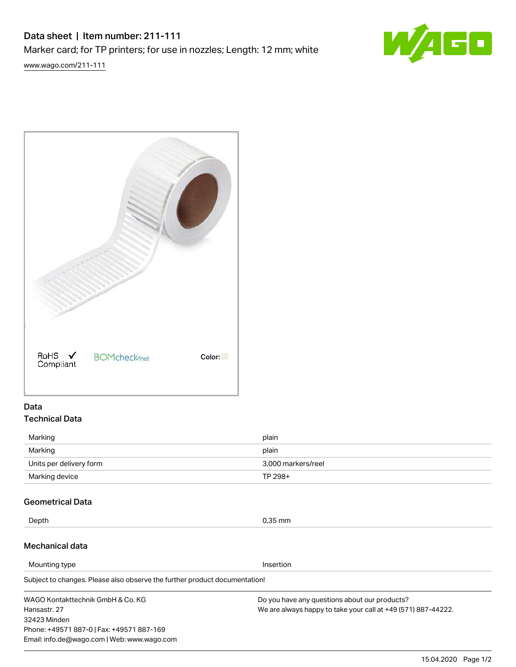# Data sheet | Item number: 211-111 Marker card; for TP printers; for use in nozzles; Length: 12 mm; white



[www.wago.com/211-111](http://www.wago.com/211-111)

| $ROHS \nightharpoonup$<br>Compliant | <b>BOMcheck</b> <sub>net</sub> | Color: |
|-------------------------------------|--------------------------------|--------|

# Data Technical Data

| Marking                 | plain              |
|-------------------------|--------------------|
| Marking                 | plain              |
| Units per delivery form | 3,000 markers/reel |
| Marking device          | TP 298+            |

# Geometrical Data

Depth 0,35 mm

# Mechanical data

Phone: +49571 887-0 | Fax: +49571 887-169 Email: info.de@wago.com | Web: www.wago.com

Subject to changes. Please also observe the further product documentation! WAGO Kontakttechnik GmbH & Co. KG Hansastr. 27 32423 Minden Do you have any questions about our products? We are always happy to take your call at +49 (571) 887-44222. Mounting type **Insertion**